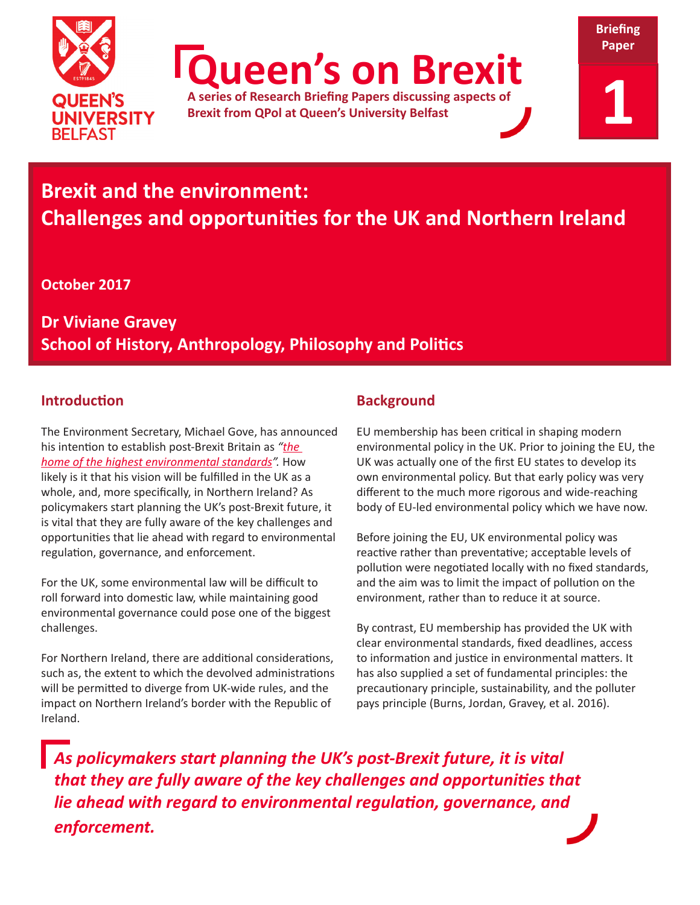

**Queen's on Brexit**

**A series of Research Briefing Papers discussing aspects of Brexit from QPol at Queen's University Belfast**



**Briefing** 

# **Brexit and the environment: Challenges and opportunities for the UK and Northern Ireland**

**October 2017**

**Dr Viviane Gravey School of History, Anthropology, Philosophy and Politics**

# **Introduction**

The Environment Secretary, Michael Gove, has announced his intention to establish post-Brexit Britain as *["the](https://www.gov.uk/government/speeches/the-unfrozen-moment-delivering-a-green-brexit)  [home of the highest environmental standards](https://www.gov.uk/government/speeches/the-unfrozen-moment-delivering-a-green-brexit)".* How likely is it that his vision will be fulfilled in the UK as a whole, and, more specifically, in Northern Ireland? As policymakers start planning the UK's post-Brexit future, it is vital that they are fully aware of the key challenges and opportunities that lie ahead with regard to environmental regulation, governance, and enforcement.

For the UK, some environmental law will be difficult to roll forward into domestic law, while maintaining good environmental governance could pose one of the biggest challenges.

For Northern Ireland, there are additional considerations, such as, the extent to which the devolved administrations will be permitted to diverge from UK-wide rules, and the impact on Northern Ireland's border with the Republic of Ireland.

# **Background**

EU membership has been critical in shaping modern environmental policy in the UK. Prior to joining the EU, the UK was actually one of the first EU states to develop its own environmental policy. But that early policy was very different to the much more rigorous and wide-reaching body of EU-led environmental policy which we have now.

Before joining the EU, UK environmental policy was reactive rather than preventative; acceptable levels of pollution were negotiated locally with no fixed standards, and the aim was to limit the impact of pollution on the environment, rather than to reduce it at source.

By contrast, EU membership has provided the UK with clear environmental standards, fixed deadlines, access to information and justice in environmental matters. It has also supplied a set of fundamental principles: the precautionary principle, sustainability, and the polluter pays principle (Burns, Jordan, Gravey, et al. 2016).

*As policymakers start planning the UK's post-Brexit future, it is vital that they are fully aware of the key challenges and opportunities that lie ahead with regard to environmental regulation, governance, and enforcement.*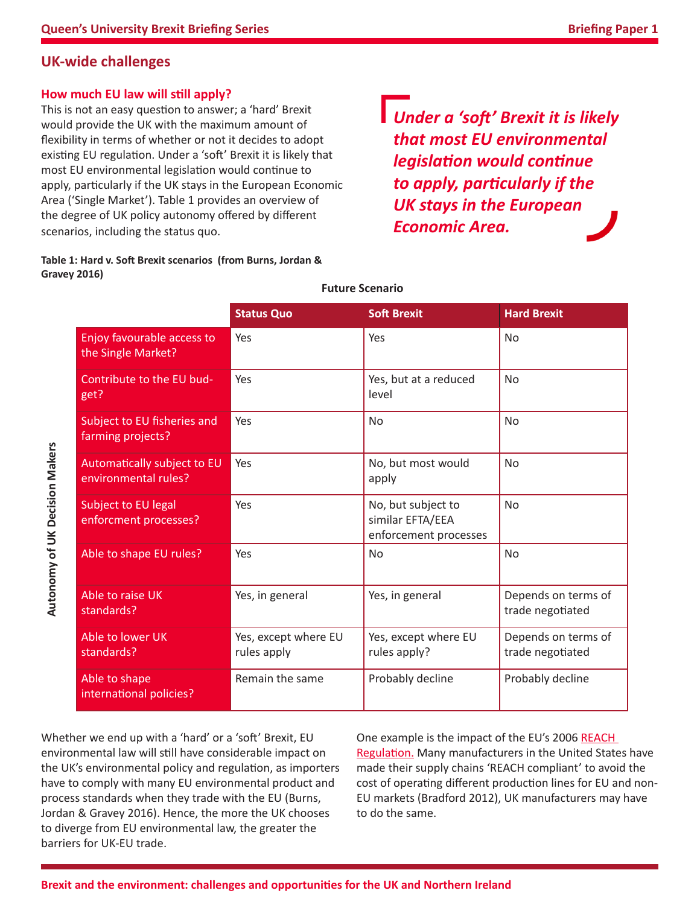## **UK-wide challenges**

#### **How much EU law will still apply?**

This is not an easy question to answer; a 'hard' Brexit would provide the UK with the maximum amount of flexibility in terms of whether or not it decides to adopt existing EU regulation. Under a 'soft' Brexit it is likely that most EU environmental legislation would continue to apply, particularly if the UK stays in the European Economic Area ('Single Market'). Table 1 provides an overview of the degree of UK policy autonomy offered by different scenarios, including the status quo.

#### **Table 1: Hard v. Soft Brexit scenarios (from Burns, Jordan & Gravey 2016)**

*Under a 'soft' Brexit it is likely that most EU environmental legislation would continue to apply, particularly if the UK stays in the European Economic Area.*

|                                                     | <b>Status Quo</b>                   | <b>Soft Brexit</b>                                              | <b>Hard Brexit</b>                      |
|-----------------------------------------------------|-------------------------------------|-----------------------------------------------------------------|-----------------------------------------|
| Enjoy favourable access to<br>the Single Market?    | Yes                                 | Yes                                                             | <b>No</b>                               |
| Contribute to the EU bud-<br>get?                   | Yes                                 | Yes, but at a reduced<br>level                                  | <b>No</b>                               |
| Subject to EU fisheries and<br>farming projects?    | Yes                                 | <b>No</b>                                                       | <b>No</b>                               |
| Automatically subject to EU<br>environmental rules? | Yes                                 | No, but most would<br>apply                                     | <b>No</b>                               |
| Subject to EU legal<br>enforcment processes?        | Yes                                 | No, but subject to<br>similar EFTA/EEA<br>enforcement processes | <b>No</b>                               |
| Able to shape EU rules?                             | Yes                                 | No                                                              | <b>No</b>                               |
| Able to raise UK<br>standards?                      | Yes, in general                     | Yes, in general                                                 | Depends on terms of<br>trade negotiated |
| Able to lower UK<br>standards?                      | Yes, except where EU<br>rules apply | Yes, except where EU<br>rules apply?                            | Depends on terms of<br>trade negotiated |
| Able to shape<br>international policies?            | Remain the same                     | Probably decline                                                | Probably decline                        |

#### **Future Scenario**

Whether we end up with a 'hard' or a 'soft' Brexit, EU environmental law will still have considerable impact on the UK's environmental policy and regulation, as importers have to comply with many EU environmental product and process standards when they trade with the EU (Burns, Jordan & Gravey 2016). Hence, the more the UK chooses to diverge from EU environmental law, the greater the barriers for UK-EU trade.

One example is the impact of the EU's 2006 [REACH](http://ec.europa.eu/environment/chemicals/reach/reach_en.htm)  [Regulation.](http://ec.europa.eu/environment/chemicals/reach/reach_en.htm) Many manufacturers in the United States have made their supply chains 'REACH compliant' to avoid the cost of operating different production lines for EU and non-EU markets (Bradford 2012), UK manufacturers may have to do the same.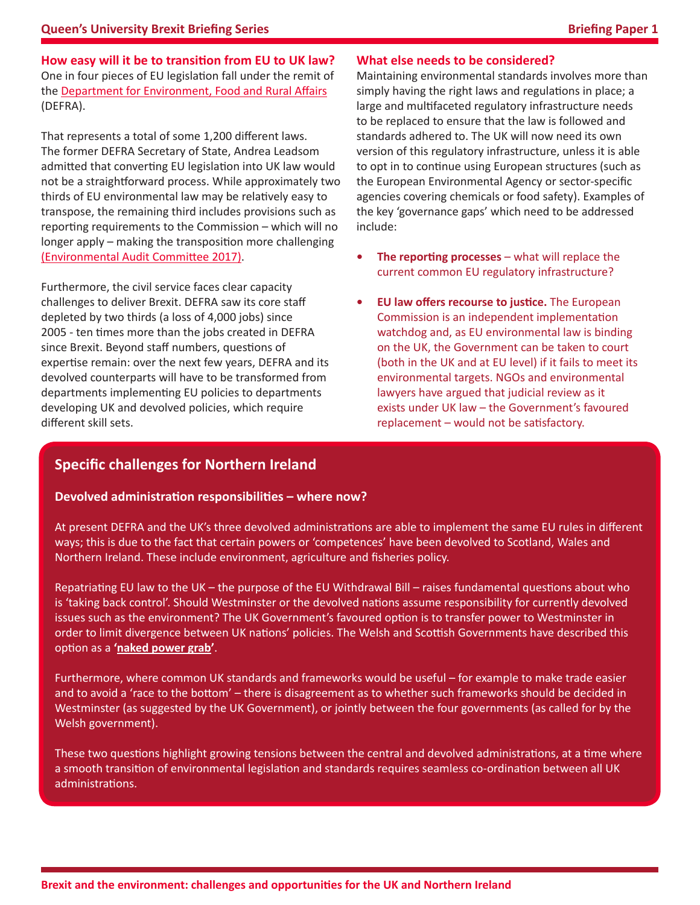**How easy will it be to transition from EU to UK law?** One in four pieces of EU legislation fall under the remit of the [Department for Environment, Food and Rural Affairs](https://quarterly.blog.gov.uk/2016/11/01/how-defra-is-adapting-to-the-challenge-of-brexit/) (DEFRA).

That represents a total of some 1,200 different laws. The former DEFRA Secretary of State, Andrea Leadsom admitted that converting EU legislation into UK law would not be a straightforward process. While approximately two thirds of EU environmental law may be relatively easy to transpose, the remaining third includes provisions such as reporting requirements to the Commission – which will no longer apply – making the transposition more challenging [\(Environmental Audit Committee 2017\)](https://publications.parliament.uk/pa/cm201617/cmselect/cmenvaud/599/599.pdf).

Furthermore, the civil service faces clear capacity challenges to deliver Brexit. DEFRA saw its core staff depleted by two thirds (a loss of 4,000 jobs) since 2005 - ten times more than the jobs created in DEFRA since Brexit. Beyond staff numbers, questions of expertise remain: over the next few years, DEFRA and its devolved counterparts will have to be transformed from departments implementing EU policies to departments developing UK and devolved policies, which require different skill sets.

#### **What else needs to be considered?**

Maintaining environmental standards involves more than simply having the right laws and regulations in place; a large and multifaceted regulatory infrastructure needs to be replaced to ensure that the law is followed and standards adhered to. The UK will now need its own version of this regulatory infrastructure, unless it is able to opt in to continue using European structures (such as the European Environmental Agency or sector-specific agencies covering chemicals or food safety). Examples of the key 'governance gaps' which need to be addressed include:

- **The reporting processes** what will replace the current common EU regulatory infrastructure?
- **• EU law offers recourse to justice.** The European Commission is an independent implementation watchdog and, as EU environmental law is binding on the UK, the Government can be taken to court (both in the UK and at EU level) if it fails to meet its environmental targets. NGOs and environmental lawyers have argued that judicial review as it exists under UK law – the Government's favoured replacement – would not be satisfactory.

## **Specific challenges for Northern Ireland**

#### **Devolved administration responsibilities – where now?**

At present DEFRA and the UK's three devolved administrations are able to implement the same EU rules in different ways; this is due to the fact that certain powers or 'competences' have been devolved to Scotland, Wales and Northern Ireland. These include environment, agriculture and fisheries policy.

Repatriating EU law to the UK – the purpose of the EU Withdrawal Bill – raises fundamental questions about who is 'taking back control'. Should Westminster or the devolved nations assume responsibility for currently devolved issues such as the environment? The UK Government's favoured option is to transfer power to Westminster in order to limit divergence between UK nations' policies. The Welsh and Scottish Governments have described this option as a **'[naked power grab](https://www.theguardian.com/politics/2017/jul/13/scotland-wales-brexit-great-repeal-bill-naked-power-grab-nicola-sturgeon-carwyn-jones)'**.

Furthermore, where common UK standards and frameworks would be useful – for example to make trade easier and to avoid a 'race to the bottom' – there is disagreement as to whether such frameworks should be decided in Westminster (as suggested by the UK Government), or jointly between the four governments (as called for by the Welsh government).

These two questions highlight growing tensions between the central and devolved administrations, at a time where a smooth transition of environmental legislation and standards requires seamless co-ordination between all UK administrations.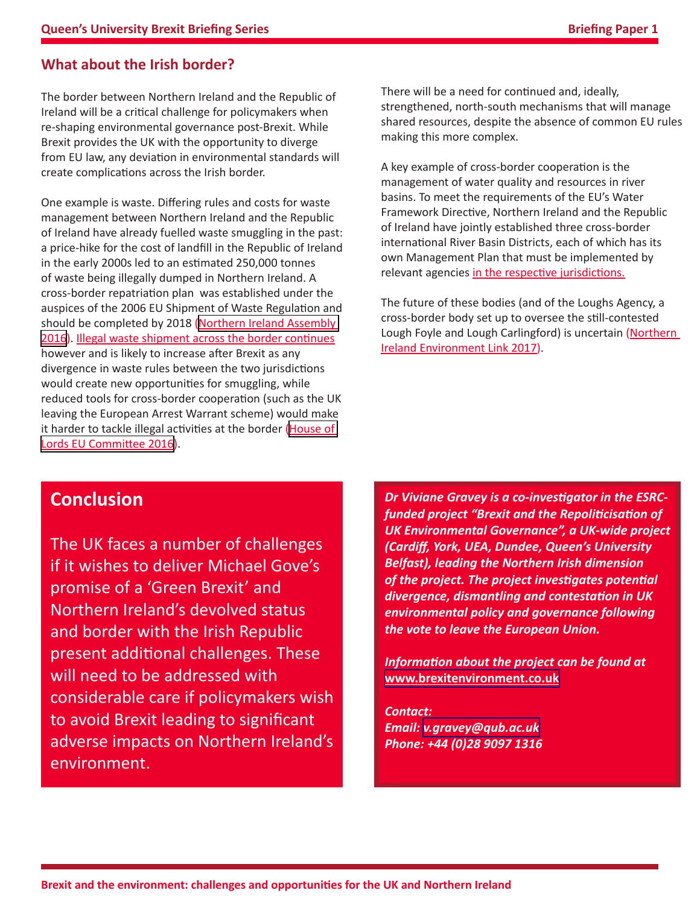# **What about the Irish border?**

The border between Northern Ireland and the Republic of Ireland will be a critical challenge for policymakers when re-shaping environmental governance post-Brexit. While Brexit provides the UK with the opportunity to diverge from EU law, any deviation in environmental standards will create complications across the Irish border.

One example is waste. Differing rules and costs for waste management between Northern Ireland and the Republic of Ireland have already fuelled waste smuggling in the past: a price-hike for the cost of landfill in the Republic of Ireland in the early 2000s led to an estimated 250,000 tonnes of waste being illegally dumped in Northern Ireland. A cross-border repatriation plan was established under the auspices of the 2006 EU Shipment of Waste Regulation and should be completed by 2018 (Northern Ireland Assembly [2016](http://www.niassembly.gov.uk/globalassets/documents/raise/publications/2016-2021/2017/aera/1017.pdf)). [Illegal waste shipment across the border continues](http://www.bbc.co.uk/news/uk-northern-ireland-37553602) however and is likely to increase after Brexit as any divergence in waste rules between the two jurisdictions would create new opportunities for smuggling, while reduced tools for cross-border cooperation (such as the UK leaving the European Arrest Warrant scheme) would make it harder to tackle illegal activities at the border ([House of](https://publications.parliament.uk/pa/ld201617/ldselect/ldeucom/76/76.pdf)  [Lords EU Committee 2016\)](https://publications.parliament.uk/pa/ld201617/ldselect/ldeucom/76/76.pdf).

There will be a need for continued and, ideally, strengthened, north-south mechanisms that will manage shared resources, despite the absence of common EU rules making this more complex.

A key example of cross-border cooperation is the management of water quality and resources in river basins. To meet the requirements of the EU's Water Framework Directive, Northern Ireland and the Republic of Ireland have jointly established three cross-border international River Basin Districts, each of which has its own Management Plan that must be implemented by relevant agencies [in the respective jurisdictions.](http://www.euwfd.com/html/rbmps-in-northern-ireland.html)

The future of these bodies (and of the Loughs Agency, a cross-border body set up to oversee the still-contested Lough Foyle and Lough Carlingford) is uncertain [\(Northern](http://data.parliament.uk/writtenevidence/committeeevidence.svc/evidencedocument/northern-ireland-affairs-committee/future-of-the-land-border-with-the-republic-of-ireland/oral/49764.html)  [Ireland Environment Link 2017\)](http://data.parliament.uk/writtenevidence/committeeevidence.svc/evidencedocument/northern-ireland-affairs-committee/future-of-the-land-border-with-the-republic-of-ireland/oral/49764.html).

# **Conclusion**

The UK faces a number of challenges if it wishes to deliver Michael Gove's promise of a 'Green Brexit' and Northern Ireland's devolved status and border with the Irish Republic present additional challenges. These will need to be addressed with considerable care if policymakers wish to avoid Brexit leading to significant adverse impacts on Northern Ireland's environment.

*Dr Viviane Gravey is a co-investigator in the ESRCfunded project "Brexit and the Repoliticisation of UK Environmental Governance", a UK-wide project (Cardiff, York, UEA, Dundee, Queen's University Belfast), leading the Northern Irish dimension of the project. The project investigates potential divergence, dismantling and contestation in UK environmental policy and governance following the vote to leave the European Union.* 

*Information about the project can be found at*  **[www.brexitenvironment.co.uk](http://www.brexitenvironment.co.uk)**

*Contact: Email: [v.gravey@qub.ac.uk](mailto:v.gravey%40qub.ac.uk?subject=Brexit%20Environment%20Briefing) Phone: +44 (0)28 9097 1316*